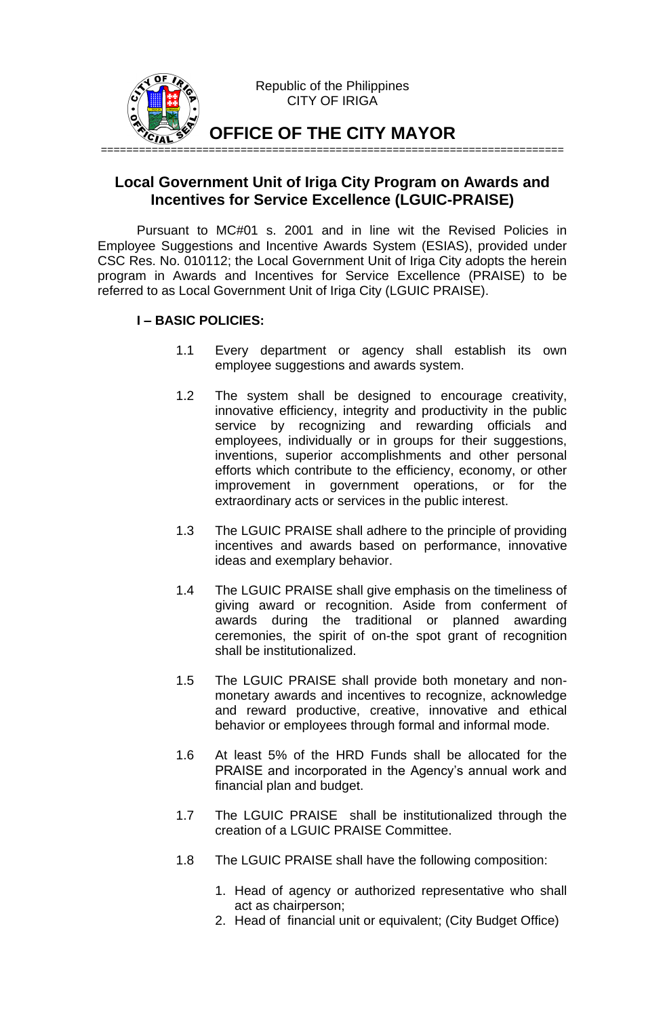

# **Local Government Unit of Iriga City Program on Awards and Incentives for Service Excellence (LGUIC-PRAISE)**

Pursuant to MC#01 s. 2001 and in line wit the Revised Policies in Employee Suggestions and Incentive Awards System (ESIAS), provided under CSC Res. No. 010112; the Local Government Unit of Iriga City adopts the herein program in Awards and Incentives for Service Excellence (PRAISE) to be referred to as Local Government Unit of Iriga City (LGUIC PRAISE).

## **I – BASIC POLICIES:**

- 1.1 Every department or agency shall establish its own employee suggestions and awards system.
- 1.2 The system shall be designed to encourage creativity, innovative efficiency, integrity and productivity in the public service by recognizing and rewarding officials and employees, individually or in groups for their suggestions, inventions, superior accomplishments and other personal efforts which contribute to the efficiency, economy, or other improvement in government operations, or for the extraordinary acts or services in the public interest.
- 1.3 The LGUIC PRAISE shall adhere to the principle of providing incentives and awards based on performance, innovative ideas and exemplary behavior.
- 1.4 The LGUIC PRAISE shall give emphasis on the timeliness of giving award or recognition. Aside from conferment of awards during the traditional or planned awarding ceremonies, the spirit of on-the spot grant of recognition shall be institutionalized.
- 1.5 The LGUIC PRAISE shall provide both monetary and nonmonetary awards and incentives to recognize, acknowledge and reward productive, creative, innovative and ethical behavior or employees through formal and informal mode.
- 1.6 At least 5% of the HRD Funds shall be allocated for the PRAISE and incorporated in the Agency's annual work and financial plan and budget.
- 1.7 The LGUIC PRAISE shall be institutionalized through the creation of a LGUIC PRAISE Committee.
- 1.8 The LGUIC PRAISE shall have the following composition:
	- 1. Head of agency or authorized representative who shall act as chairperson;
	- 2. Head of financial unit or equivalent; (City Budget Office)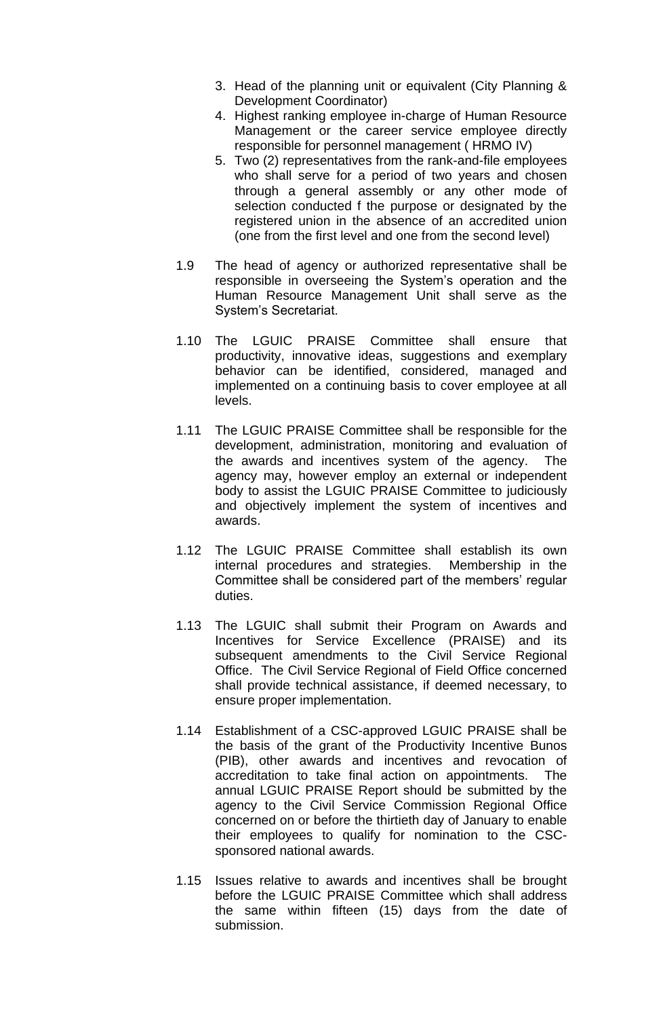- 3. Head of the planning unit or equivalent (City Planning & Development Coordinator)
- 4. Highest ranking employee in-charge of Human Resource Management or the career service employee directly responsible for personnel management ( HRMO IV)
- 5. Two (2) representatives from the rank-and-file employees who shall serve for a period of two years and chosen through a general assembly or any other mode of selection conducted f the purpose or designated by the registered union in the absence of an accredited union (one from the first level and one from the second level)
- 1.9 The head of agency or authorized representative shall be responsible in overseeing the System's operation and the Human Resource Management Unit shall serve as the System's Secretariat.
- 1.10 The LGUIC PRAISE Committee shall ensure that productivity, innovative ideas, suggestions and exemplary behavior can be identified, considered, managed and implemented on a continuing basis to cover employee at all levels.
- 1.11 The LGUIC PRAISE Committee shall be responsible for the development, administration, monitoring and evaluation of the awards and incentives system of the agency. The agency may, however employ an external or independent body to assist the LGUIC PRAISE Committee to judiciously and objectively implement the system of incentives and awards.
- 1.12 The LGUIC PRAISE Committee shall establish its own internal procedures and strategies. Membership in the Committee shall be considered part of the members' regular duties.
- 1.13 The LGUIC shall submit their Program on Awards and Incentives for Service Excellence (PRAISE) and its subsequent amendments to the Civil Service Regional Office. The Civil Service Regional of Field Office concerned shall provide technical assistance, if deemed necessary, to ensure proper implementation.
- 1.14 Establishment of a CSC-approved LGUIC PRAISE shall be the basis of the grant of the Productivity Incentive Bunos (PIB), other awards and incentives and revocation of accreditation to take final action on appointments. The annual LGUIC PRAISE Report should be submitted by the agency to the Civil Service Commission Regional Office concerned on or before the thirtieth day of January to enable their employees to qualify for nomination to the CSCsponsored national awards.
- 1.15 Issues relative to awards and incentives shall be brought before the LGUIC PRAISE Committee which shall address the same within fifteen (15) days from the date of submission.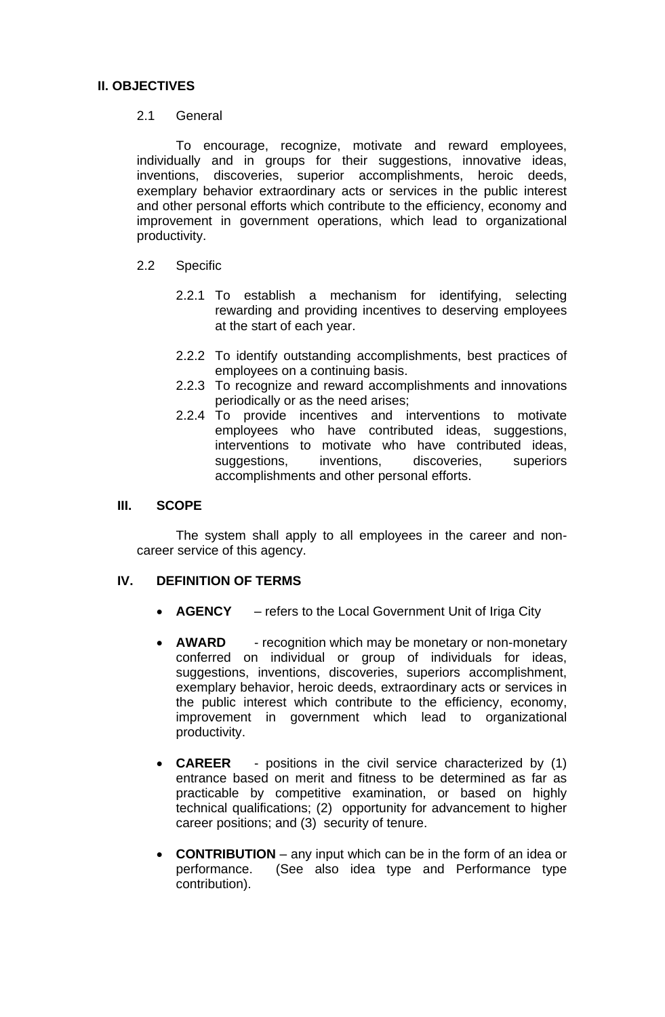## **II. OBJECTIVES**

### 2.1 General

To encourage, recognize, motivate and reward employees, individually and in groups for their suggestions, innovative ideas, inventions, discoveries, superior accomplishments, heroic deeds, exemplary behavior extraordinary acts or services in the public interest and other personal efforts which contribute to the efficiency, economy and improvement in government operations, which lead to organizational productivity.

## 2.2 Specific

- 2.2.1 To establish a mechanism for identifying, selecting rewarding and providing incentives to deserving employees at the start of each year.
- 2.2.2 To identify outstanding accomplishments, best practices of employees on a continuing basis.
- 2.2.3 To recognize and reward accomplishments and innovations periodically or as the need arises;
- 2.2.4 To provide incentives and interventions to motivate employees who have contributed ideas, suggestions, interventions to motivate who have contributed ideas, suggestions, inventions, discoveries, superiors accomplishments and other personal efforts.

## **III. SCOPE**

The system shall apply to all employees in the career and noncareer service of this agency.

### **IV. DEFINITION OF TERMS**

- **AGENCY** refers to the Local Government Unit of Iriga City
- **AWARD** recognition which may be monetary or non-monetary conferred on individual or group of individuals for ideas, suggestions, inventions, discoveries, superiors accomplishment, exemplary behavior, heroic deeds, extraordinary acts or services in the public interest which contribute to the efficiency, economy, improvement in government which lead to organizational productivity.
- **CAREER** positions in the civil service characterized by (1) entrance based on merit and fitness to be determined as far as practicable by competitive examination, or based on highly technical qualifications; (2) opportunity for advancement to higher career positions; and (3) security of tenure.
- **CONTRIBUTION** any input which can be in the form of an idea or performance. (See also idea type and Performance type contribution).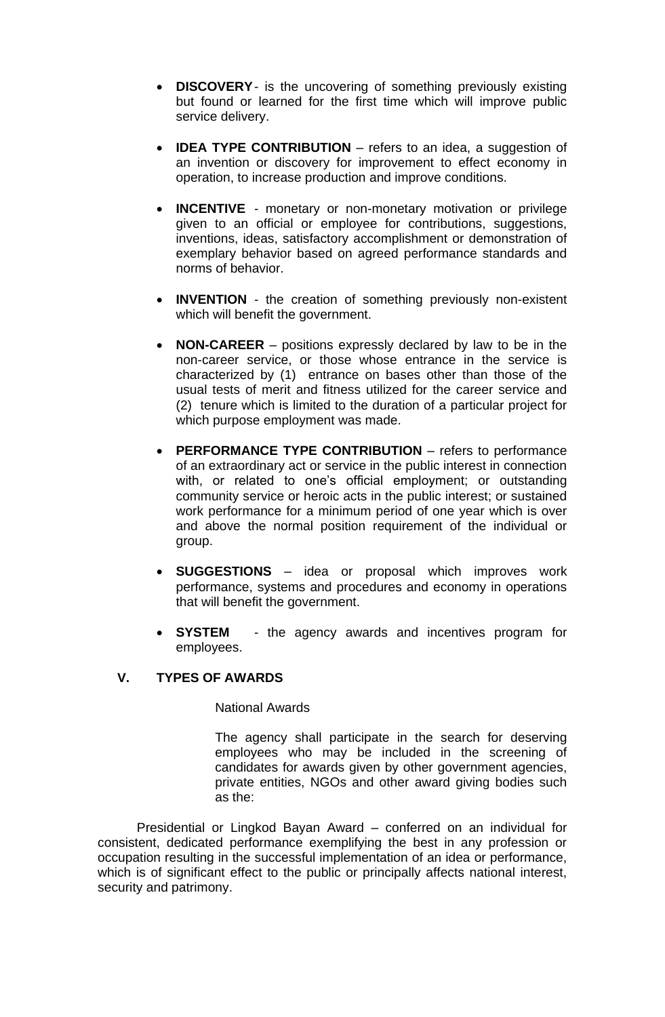- **DISCOVERY** is the uncovering of something previously existing but found or learned for the first time which will improve public service delivery.
- **IDEA TYPE CONTRIBUTION** refers to an idea, a suggestion of an invention or discovery for improvement to effect economy in operation, to increase production and improve conditions.
- **INCENTIVE** monetary or non-monetary motivation or privilege given to an official or employee for contributions, suggestions, inventions, ideas, satisfactory accomplishment or demonstration of exemplary behavior based on agreed performance standards and norms of behavior.
- **INVENTION** the creation of something previously non-existent which will benefit the government.
- **NON-CAREER** positions expressly declared by law to be in the non-career service, or those whose entrance in the service is characterized by (1) entrance on bases other than those of the usual tests of merit and fitness utilized for the career service and (2) tenure which is limited to the duration of a particular project for which purpose employment was made.
- **PERFORMANCE TYPE CONTRIBUTION** refers to performance of an extraordinary act or service in the public interest in connection with, or related to one's official employment; or outstanding community service or heroic acts in the public interest; or sustained work performance for a minimum period of one year which is over and above the normal position requirement of the individual or group.
- **SUGGESTIONS** idea or proposal which improves work performance, systems and procedures and economy in operations that will benefit the government.
- **SYSTEM** the agency awards and incentives program for employees.

## **V. TYPES OF AWARDS**

### National Awards

The agency shall participate in the search for deserving employees who may be included in the screening of candidates for awards given by other government agencies, private entities, NGOs and other award giving bodies such as the:

Presidential or Lingkod Bayan Award – conferred on an individual for consistent, dedicated performance exemplifying the best in any profession or occupation resulting in the successful implementation of an idea or performance, which is of significant effect to the public or principally affects national interest, security and patrimony.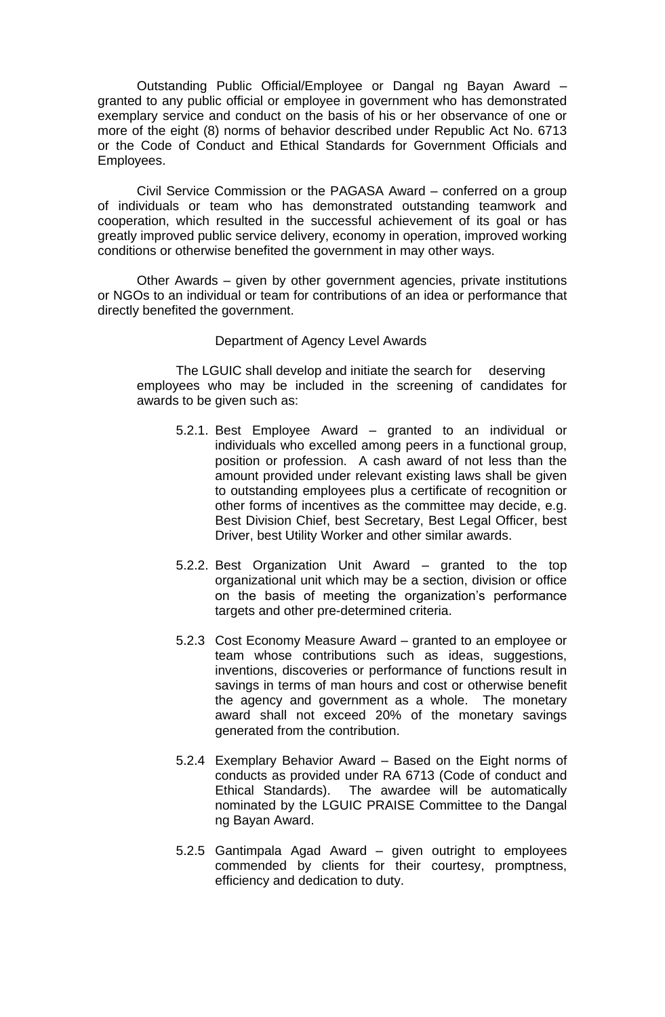Outstanding Public Official/Employee or Dangal ng Bayan Award – granted to any public official or employee in government who has demonstrated exemplary service and conduct on the basis of his or her observance of one or more of the eight (8) norms of behavior described under Republic Act No. 6713 or the Code of Conduct and Ethical Standards for Government Officials and Employees.

Civil Service Commission or the PAGASA Award – conferred on a group of individuals or team who has demonstrated outstanding teamwork and cooperation, which resulted in the successful achievement of its goal or has greatly improved public service delivery, economy in operation, improved working conditions or otherwise benefited the government in may other ways.

Other Awards – given by other government agencies, private institutions or NGOs to an individual or team for contributions of an idea or performance that directly benefited the government.

#### Department of Agency Level Awards

The LGUIC shall develop and initiate the search for deserving employees who may be included in the screening of candidates for awards to be given such as:

- 5.2.1. Best Employee Award granted to an individual or individuals who excelled among peers in a functional group, position or profession. A cash award of not less than the amount provided under relevant existing laws shall be given to outstanding employees plus a certificate of recognition or other forms of incentives as the committee may decide, e.g. Best Division Chief, best Secretary, Best Legal Officer, best Driver, best Utility Worker and other similar awards.
- 5.2.2. Best Organization Unit Award granted to the top organizational unit which may be a section, division or office on the basis of meeting the organization's performance targets and other pre-determined criteria.
- 5.2.3 Cost Economy Measure Award granted to an employee or team whose contributions such as ideas, suggestions, inventions, discoveries or performance of functions result in savings in terms of man hours and cost or otherwise benefit the agency and government as a whole. The monetary award shall not exceed 20% of the monetary savings generated from the contribution.
- 5.2.4 Exemplary Behavior Award Based on the Eight norms of conducts as provided under RA 6713 (Code of conduct and Ethical Standards). The awardee will be automatically nominated by the LGUIC PRAISE Committee to the Dangal ng Bayan Award.
- 5.2.5 Gantimpala Agad Award given outright to employees commended by clients for their courtesy, promptness, efficiency and dedication to duty.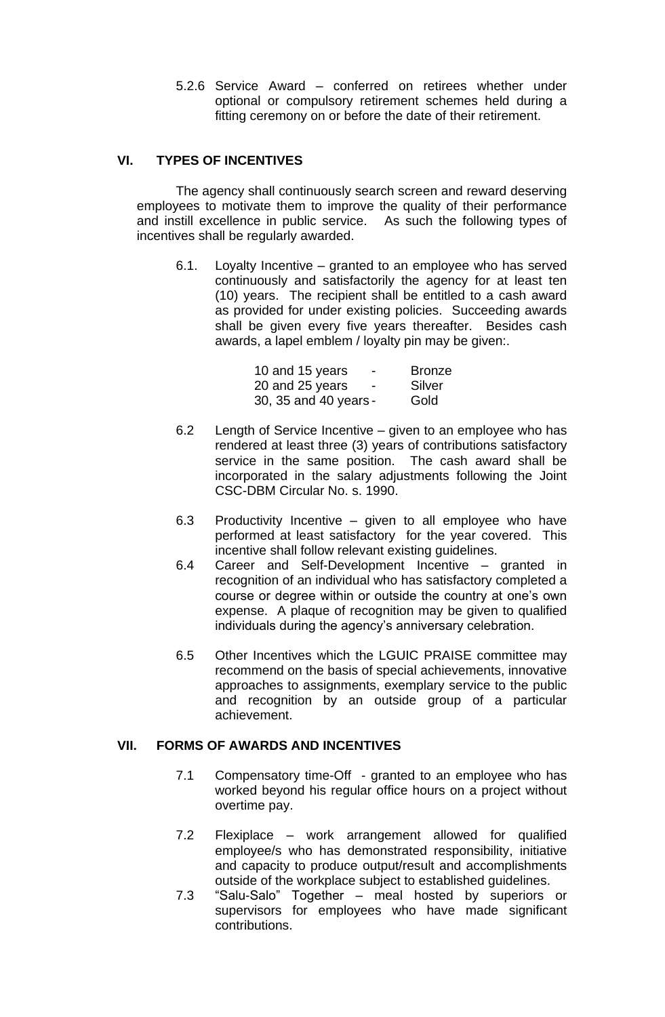5.2.6 Service Award – conferred on retirees whether under optional or compulsory retirement schemes held during a fitting ceremony on or before the date of their retirement.

## **VI. TYPES OF INCENTIVES**

The agency shall continuously search screen and reward deserving employees to motivate them to improve the quality of their performance and instill excellence in public service. As such the following types of incentives shall be regularly awarded.

6.1. Loyalty Incentive – granted to an employee who has served continuously and satisfactorily the agency for at least ten (10) years. The recipient shall be entitled to a cash award as provided for under existing policies. Succeeding awards shall be given every five years thereafter. Besides cash awards, a lapel emblem / loyalty pin may be given:.

| 10 and 15 years<br>-                        | <b>Bronze</b> |
|---------------------------------------------|---------------|
| 20 and 25 years<br>$\overline{\phantom{0}}$ | Silver        |
| 30, 35 and 40 years -                       | Gold          |

- 6.2 Length of Service Incentive given to an employee who has rendered at least three (3) years of contributions satisfactory service in the same position. The cash award shall be incorporated in the salary adjustments following the Joint CSC-DBM Circular No. s. 1990.
- 6.3 Productivity Incentive given to all employee who have performed at least satisfactory for the year covered. This incentive shall follow relevant existing guidelines.
- 6.4 Career and Self-Development Incentive granted in recognition of an individual who has satisfactory completed a course or degree within or outside the country at one's own expense. A plaque of recognition may be given to qualified individuals during the agency's anniversary celebration.
- 6.5 Other Incentives which the LGUIC PRAISE committee may recommend on the basis of special achievements, innovative approaches to assignments, exemplary service to the public and recognition by an outside group of a particular achievement.

## **VII. FORMS OF AWARDS AND INCENTIVES**

- 7.1 Compensatory time-Off granted to an employee who has worked beyond his regular office hours on a project without overtime pay.
- 7.2 Flexiplace work arrangement allowed for qualified employee/s who has demonstrated responsibility, initiative and capacity to produce output/result and accomplishments outside of the workplace subject to established guidelines.
- 7.3 "Salu-Salo" Together meal hosted by superiors or supervisors for employees who have made significant contributions.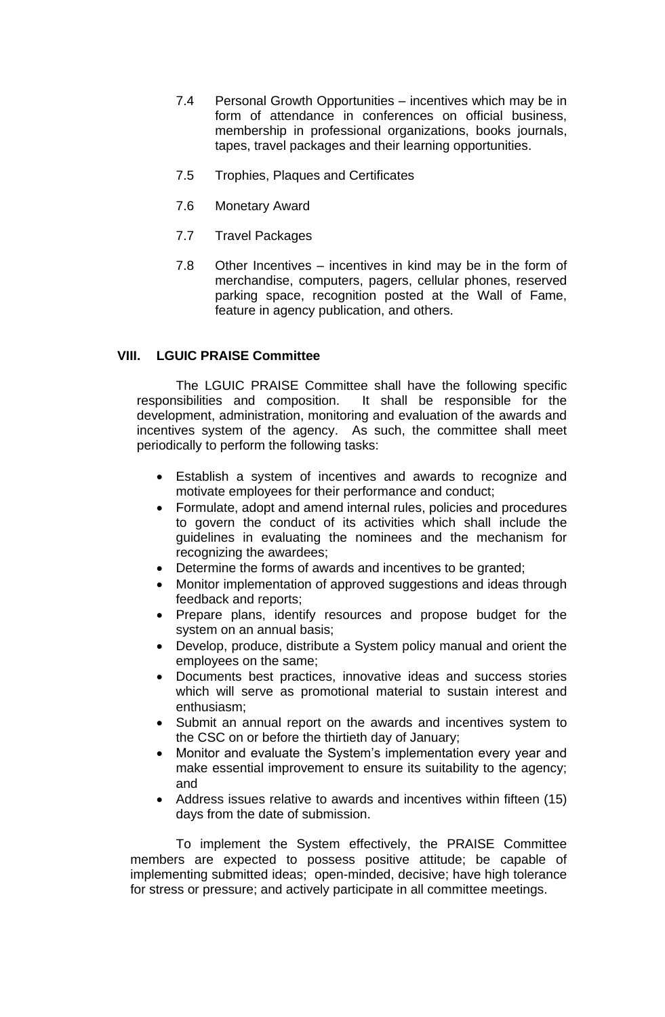- 7.4 Personal Growth Opportunities incentives which may be in form of attendance in conferences on official business, membership in professional organizations, books journals, tapes, travel packages and their learning opportunities.
- 7.5 Trophies, Plaques and Certificates
- 7.6 Monetary Award
- 7.7 Travel Packages
- 7.8 Other Incentives incentives in kind may be in the form of merchandise, computers, pagers, cellular phones, reserved parking space, recognition posted at the Wall of Fame, feature in agency publication, and others.

## **VIII. LGUIC PRAISE Committee**

The LGUIC PRAISE Committee shall have the following specific responsibilities and composition. It shall be responsible for the development, administration, monitoring and evaluation of the awards and incentives system of the agency. As such, the committee shall meet periodically to perform the following tasks:

- Establish a system of incentives and awards to recognize and motivate employees for their performance and conduct;
- Formulate, adopt and amend internal rules, policies and procedures to govern the conduct of its activities which shall include the guidelines in evaluating the nominees and the mechanism for recognizing the awardees;
- Determine the forms of awards and incentives to be granted;
- Monitor implementation of approved suggestions and ideas through feedback and reports;
- Prepare plans, identify resources and propose budget for the system on an annual basis;
- Develop, produce, distribute a System policy manual and orient the employees on the same;
- Documents best practices, innovative ideas and success stories which will serve as promotional material to sustain interest and enthusiasm;
- Submit an annual report on the awards and incentives system to the CSC on or before the thirtieth day of January;
- Monitor and evaluate the System's implementation every year and make essential improvement to ensure its suitability to the agency; and
- Address issues relative to awards and incentives within fifteen (15) days from the date of submission.

To implement the System effectively, the PRAISE Committee members are expected to possess positive attitude; be capable of implementing submitted ideas; open-minded, decisive; have high tolerance for stress or pressure; and actively participate in all committee meetings.